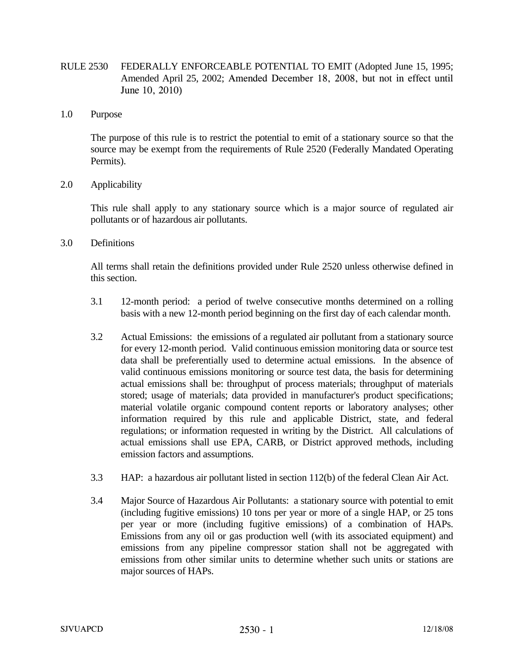- RULE 2530 FEDERALLY ENFORCEABLE POTENTIAL TO EMIT (Adopted June 15, 1995; Amended April 25, 2002; Amended December 18, 2008, but not in effect until June 10, 2010)
- 1.0 Purpose

 The purpose of this rule is to restrict the potential to emit of a stationary source so that the source may be exempt from the requirements of Rule 2520 (Federally Mandated Operating Permits).

2.0 Applicability

 This rule shall apply to any stationary source which is a major source of regulated air pollutants or of hazardous air pollutants.

3.0 Definitions

 All terms shall retain the definitions provided under Rule 2520 unless otherwise defined in this section.

- 3.1 12-month period: a period of twelve consecutive months determined on a rolling basis with a new 12-month period beginning on the first day of each calendar month.
- 3.2 Actual Emissions: the emissions of a regulated air pollutant from a stationary source for every 12-month period. Valid continuous emission monitoring data or source test data shall be preferentially used to determine actual emissions. In the absence of valid continuous emissions monitoring or source test data, the basis for determining actual emissions shall be: throughput of process materials; throughput of materials stored; usage of materials; data provided in manufacturer's product specifications; material volatile organic compound content reports or laboratory analyses; other information required by this rule and applicable District, state, and federal regulations; or information requested in writing by the District. All calculations of actual emissions shall use EPA, CARB, or District approved methods, including emission factors and assumptions.
- 3.3 HAP: a hazardous air pollutant listed in section 112(b) of the federal Clean Air Act.
- 3.4 Major Source of Hazardous Air Pollutants: a stationary source with potential to emit (including fugitive emissions) 10 tons per year or more of a single HAP, or 25 tons per year or more (including fugitive emissions) of a combination of HAPs. Emissions from any oil or gas production well (with its associated equipment) and emissions from any pipeline compressor station shall not be aggregated with emissions from other similar units to determine whether such units or stations are major sources of HAPs.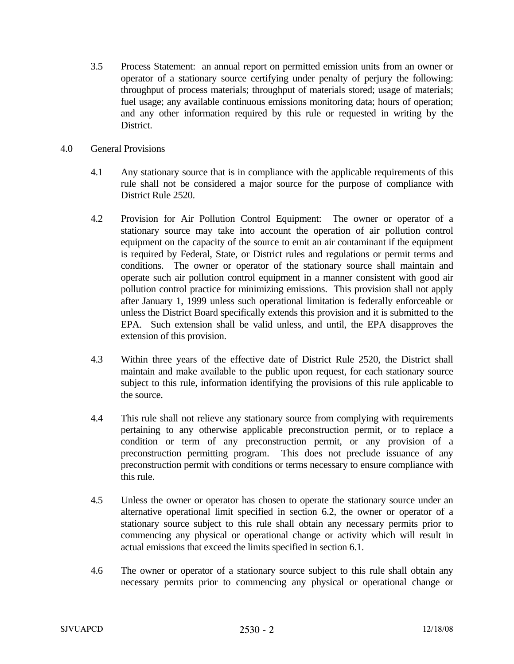- 3.5 Process Statement: an annual report on permitted emission units from an owner or operator of a stationary source certifying under penalty of perjury the following: throughput of process materials; throughput of materials stored; usage of materials; fuel usage; any available continuous emissions monitoring data; hours of operation; and any other information required by this rule or requested in writing by the District.
- 4.0 General Provisions
	- 4.1 Any stationary source that is in compliance with the applicable requirements of this rule shall not be considered a major source for the purpose of compliance with District Rule 2520.
	- 4.2 Provision for Air Pollution Control Equipment: The owner or operator of a stationary source may take into account the operation of air pollution control equipment on the capacity of the source to emit an air contaminant if the equipment is required by Federal, State, or District rules and regulations or permit terms and conditions. The owner or operator of the stationary source shall maintain and operate such air pollution control equipment in a manner consistent with good air pollution control practice for minimizing emissions. This provision shall not apply after January 1, 1999 unless such operational limitation is federally enforceable or unless the District Board specifically extends this provision and it is submitted to the EPA. Such extension shall be valid unless, and until, the EPA disapproves the extension of this provision.
	- 4.3 Within three years of the effective date of District Rule 2520, the District shall maintain and make available to the public upon request, for each stationary source subject to this rule, information identifying the provisions of this rule applicable to the source.
	- 4.4 This rule shall not relieve any stationary source from complying with requirements pertaining to any otherwise applicable preconstruction permit, or to replace a condition or term of any preconstruction permit, or any provision of a preconstruction permitting program. This does not preclude issuance of any preconstruction permit with conditions or terms necessary to ensure compliance with this rule.
	- 4.5 Unless the owner or operator has chosen to operate the stationary source under an alternative operational limit specified in section 6.2, the owner or operator of a stationary source subject to this rule shall obtain any necessary permits prior to commencing any physical or operational change or activity which will result in actual emissions that exceed the limits specified in section 6.1.
	- 4.6 The owner or operator of a stationary source subject to this rule shall obtain any necessary permits prior to commencing any physical or operational change or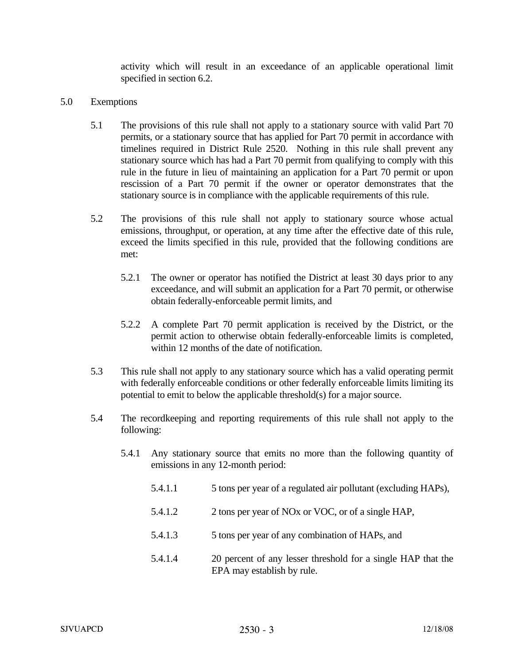activity which will result in an exceedance of an applicable operational limit specified in section 6.2.

- 5.0 Exemptions
	- 5.1 The provisions of this rule shall not apply to a stationary source with valid Part 70 permits, or a stationary source that has applied for Part 70 permit in accordance with timelines required in District Rule 2520. Nothing in this rule shall prevent any stationary source which has had a Part 70 permit from qualifying to comply with this rule in the future in lieu of maintaining an application for a Part 70 permit or upon rescission of a Part 70 permit if the owner or operator demonstrates that the stationary source is in compliance with the applicable requirements of this rule.
	- 5.2 The provisions of this rule shall not apply to stationary source whose actual emissions, throughput, or operation, at any time after the effective date of this rule, exceed the limits specified in this rule, provided that the following conditions are met:
		- 5.2.1 The owner or operator has notified the District at least 30 days prior to any exceedance, and will submit an application for a Part 70 permit, or otherwise obtain federally-enforceable permit limits, and
		- 5.2.2 A complete Part 70 permit application is received by the District, or the permit action to otherwise obtain federally-enforceable limits is completed, within 12 months of the date of notification.
	- 5.3 This rule shall not apply to any stationary source which has a valid operating permit with federally enforceable conditions or other federally enforceable limits limiting its potential to emit to below the applicable threshold(s) for a major source.
	- 5.4 The recordkeeping and reporting requirements of this rule shall not apply to the following:
		- 5.4.1 Any stationary source that emits no more than the following quantity of emissions in any 12-month period:
			- 5.4.1.1 5 tons per year of a regulated air pollutant (excluding HAPs),
			- 5.4.1.2 2 tons per year of NOx or VOC, or of a single HAP,
			- 5.4.1.3 5 tons per year of any combination of HAPs, and
			- 5.4.1.4 20 percent of any lesser threshold for a single HAP that the EPA may establish by rule.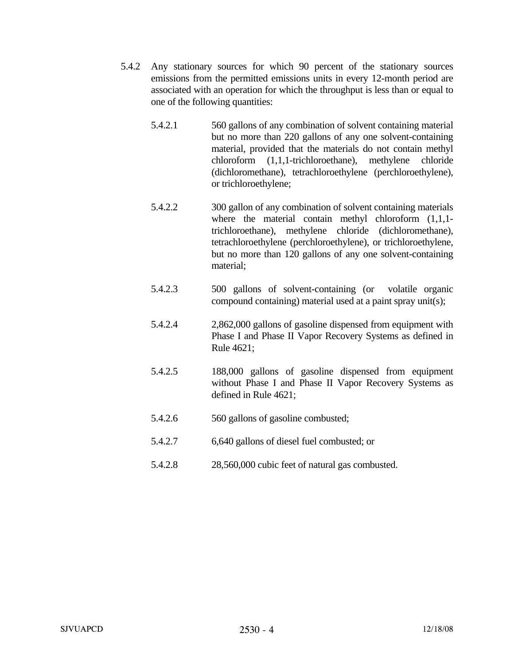- 5.4.2 Any stationary sources for which 90 percent of the stationary sources emissions from the permitted emissions units in every 12-month period are associated with an operation for which the throughput is less than or equal to one of the following quantities:
	- 5.4.2.1 560 gallons of any combination of solvent containing material but no more than 220 gallons of any one solvent-containing material, provided that the materials do not contain methyl chloroform (1,1,1-trichloroethane), methylene chloride (dichloromethane), tetrachloroethylene (perchloroethylene), or trichloroethylene;
	- 5.4.2.2 300 gallon of any combination of solvent containing materials where the material contain methyl chloroform  $(1,1,1$ trichloroethane), methylene chloride (dichloromethane), tetrachloroethylene (perchloroethylene), or trichloroethylene, but no more than 120 gallons of any one solvent-containing material;
	- 5.4.2.3 500 gallons of solvent-containing (or volatile organic compound containing) material used at a paint spray unit(s);
	- 5.4.2.4 2,862,000 gallons of gasoline dispensed from equipment with Phase I and Phase II Vapor Recovery Systems as defined in Rule 4621;
	- 5.4.2.5 188,000 gallons of gasoline dispensed from equipment without Phase I and Phase II Vapor Recovery Systems as defined in Rule 4621;
	- 5.4.2.6 560 gallons of gasoline combusted;
	- 5.4.2.7 6,640 gallons of diesel fuel combusted; or
	- 5.4.2.8 28,560,000 cubic feet of natural gas combusted.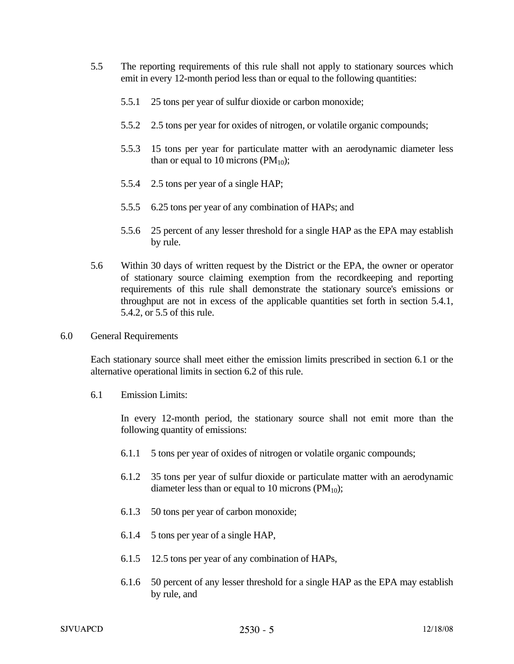- 5.5 The reporting requirements of this rule shall not apply to stationary sources which emit in every 12-month period less than or equal to the following quantities:
	- 5.5.1 25 tons per year of sulfur dioxide or carbon monoxide;
	- 5.5.2 2.5 tons per year for oxides of nitrogen, or volatile organic compounds;
	- 5.5.3 15 tons per year for particulate matter with an aerodynamic diameter less than or equal to 10 microns ( $PM_{10}$ );
	- 5.5.4 2.5 tons per year of a single HAP;
	- 5.5.5 6.25 tons per year of any combination of HAPs; and
	- 5.5.6 25 percent of any lesser threshold for a single HAP as the EPA may establish by rule.
- 5.6 Within 30 days of written request by the District or the EPA, the owner or operator of stationary source claiming exemption from the recordkeeping and reporting requirements of this rule shall demonstrate the stationary source's emissions or throughput are not in excess of the applicable quantities set forth in section 5.4.1, 5.4.2, or 5.5 of this rule.
- 6.0 General Requirements

 Each stationary source shall meet either the emission limits prescribed in section 6.1 or the alternative operational limits in section 6.2 of this rule.

6.1 Emission Limits:

 In every 12-month period, the stationary source shall not emit more than the following quantity of emissions:

- 6.1.1 5 tons per year of oxides of nitrogen or volatile organic compounds;
- 6.1.2 35 tons per year of sulfur dioxide or particulate matter with an aerodynamic diameter less than or equal to 10 microns ( $PM_{10}$ );
- 6.1.3 50 tons per year of carbon monoxide;
- 6.1.4 5 tons per year of a single HAP,
- 6.1.5 12.5 tons per year of any combination of HAPs,
- 6.1.6 50 percent of any lesser threshold for a single HAP as the EPA may establish by rule, and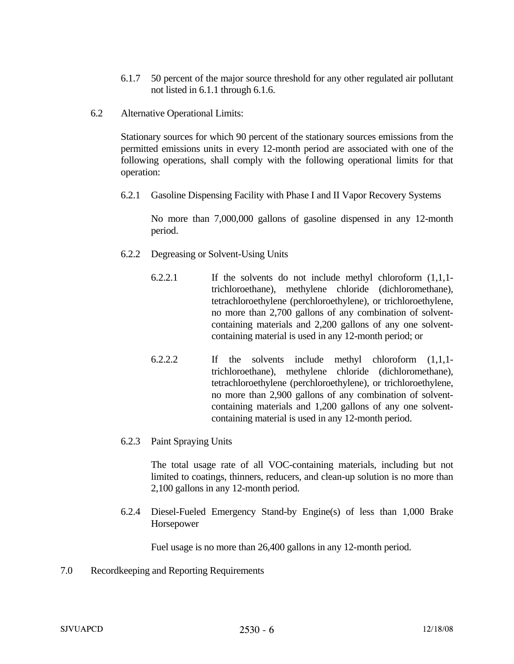- 6.1.7 50 percent of the major source threshold for any other regulated air pollutant not listed in 6.1.1 through 6.1.6.
- 6.2 Alternative Operational Limits:

 Stationary sources for which 90 percent of the stationary sources emissions from the permitted emissions units in every 12-month period are associated with one of the following operations, shall comply with the following operational limits for that operation:

6.2.1 Gasoline Dispensing Facility with Phase I and II Vapor Recovery Systems

 No more than 7,000,000 gallons of gasoline dispensed in any 12-month period.

- 6.2.2 Degreasing or Solvent-Using Units
	- 6.2.2.1 If the solvents do not include methyl chloroform (1,1,1 trichloroethane), methylene chloride (dichloromethane), tetrachloroethylene (perchloroethylene), or trichloroethylene, no more than 2,700 gallons of any combination of solventcontaining materials and 2,200 gallons of any one solventcontaining material is used in any 12-month period; or
	- 6.2.2.2 If the solvents include methyl chloroform (1,1,1 trichloroethane), methylene chloride (dichloromethane), tetrachloroethylene (perchloroethylene), or trichloroethylene, no more than 2,900 gallons of any combination of solventcontaining materials and 1,200 gallons of any one solventcontaining material is used in any 12-month period.
- 6.2.3 Paint Spraying Units

 The total usage rate of all VOC-containing materials, including but not limited to coatings, thinners, reducers, and clean-up solution is no more than 2,100 gallons in any 12-month period.

 6.2.4 Diesel-Fueled Emergency Stand-by Engine(s) of less than 1,000 Brake Horsepower

Fuel usage is no more than 26,400 gallons in any 12-month period.

7.0 Recordkeeping and Reporting Requirements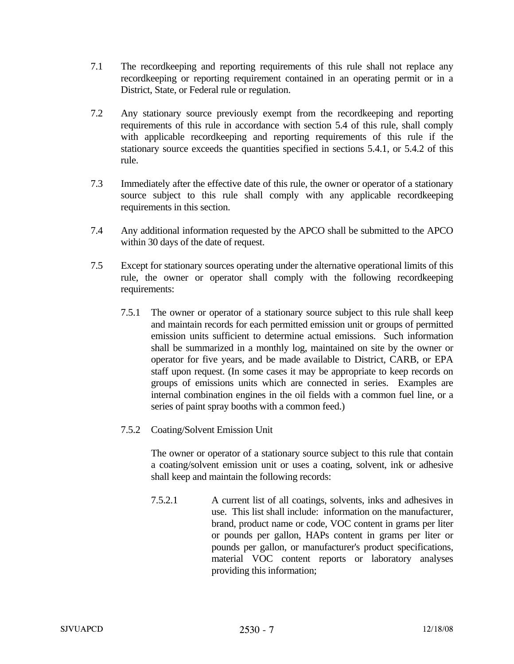- 7.1 The recordkeeping and reporting requirements of this rule shall not replace any recordkeeping or reporting requirement contained in an operating permit or in a District, State, or Federal rule or regulation.
- 7.2 Any stationary source previously exempt from the recordkeeping and reporting requirements of this rule in accordance with section 5.4 of this rule, shall comply with applicable recordkeeping and reporting requirements of this rule if the stationary source exceeds the quantities specified in sections 5.4.1, or 5.4.2 of this rule.
- 7.3 Immediately after the effective date of this rule, the owner or operator of a stationary source subject to this rule shall comply with any applicable recordkeeping requirements in this section.
- 7.4 Any additional information requested by the APCO shall be submitted to the APCO within 30 days of the date of request.
- 7.5 Except for stationary sources operating under the alternative operational limits of this rule, the owner or operator shall comply with the following recordkeeping requirements:
	- 7.5.1 The owner or operator of a stationary source subject to this rule shall keep and maintain records for each permitted emission unit or groups of permitted emission units sufficient to determine actual emissions. Such information shall be summarized in a monthly log, maintained on site by the owner or operator for five years, and be made available to District, CARB, or EPA staff upon request. (In some cases it may be appropriate to keep records on groups of emissions units which are connected in series. Examples are internal combination engines in the oil fields with a common fuel line, or a series of paint spray booths with a common feed.)
	- 7.5.2 Coating/Solvent Emission Unit

 The owner or operator of a stationary source subject to this rule that contain a coating/solvent emission unit or uses a coating, solvent, ink or adhesive shall keep and maintain the following records:

 7.5.2.1 A current list of all coatings, solvents, inks and adhesives in use. This list shall include: information on the manufacturer, brand, product name or code, VOC content in grams per liter or pounds per gallon, HAPs content in grams per liter or pounds per gallon, or manufacturer's product specifications, material VOC content reports or laboratory analyses providing this information;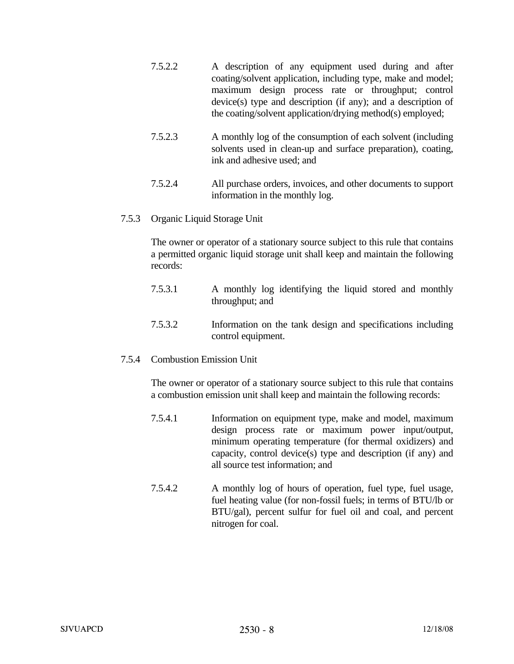- 7.5.2.2 A description of any equipment used during and after coating/solvent application, including type, make and model; maximum design process rate or throughput; control device(s) type and description (if any); and a description of the coating/solvent application/drying method(s) employed;
- 7.5.2.3 A monthly log of the consumption of each solvent (including solvents used in clean-up and surface preparation), coating, ink and adhesive used; and
- 7.5.2.4 All purchase orders, invoices, and other documents to support information in the monthly log.
- 7.5.3 Organic Liquid Storage Unit

 The owner or operator of a stationary source subject to this rule that contains a permitted organic liquid storage unit shall keep and maintain the following records:

- 7.5.3.1 A monthly log identifying the liquid stored and monthly throughput; and
- 7.5.3.2 Information on the tank design and specifications including control equipment.
- 7.5.4 Combustion Emission Unit

 The owner or operator of a stationary source subject to this rule that contains a combustion emission unit shall keep and maintain the following records:

- 7.5.4.1 Information on equipment type, make and model, maximum design process rate or maximum power input/output, minimum operating temperature (for thermal oxidizers) and capacity, control device(s) type and description (if any) and all source test information; and
- 7.5.4.2 A monthly log of hours of operation, fuel type, fuel usage, fuel heating value (for non-fossil fuels; in terms of BTU/lb or BTU/gal), percent sulfur for fuel oil and coal, and percent nitrogen for coal.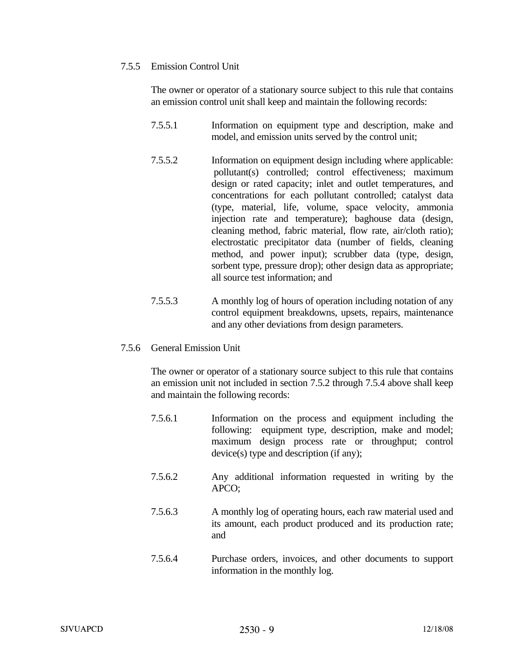## 7.5.5 Emission Control Unit

 The owner or operator of a stationary source subject to this rule that contains an emission control unit shall keep and maintain the following records:

- 7.5.5.1 Information on equipment type and description, make and model, and emission units served by the control unit;
- 7.5.5.2 Information on equipment design including where applicable: pollutant(s) controlled; control effectiveness; maximum design or rated capacity; inlet and outlet temperatures, and concentrations for each pollutant controlled; catalyst data (type, material, life, volume, space velocity, ammonia injection rate and temperature); baghouse data (design, cleaning method, fabric material, flow rate, air/cloth ratio); electrostatic precipitator data (number of fields, cleaning method, and power input); scrubber data (type, design, sorbent type, pressure drop); other design data as appropriate; all source test information; and
- 7.5.5.3 A monthly log of hours of operation including notation of any control equipment breakdowns, upsets, repairs, maintenance and any other deviations from design parameters.
- 7.5.6 General Emission Unit

 The owner or operator of a stationary source subject to this rule that contains an emission unit not included in section 7.5.2 through 7.5.4 above shall keep and maintain the following records:

- 7.5.6.1 Information on the process and equipment including the following: equipment type, description, make and model; maximum design process rate or throughput; control device(s) type and description (if any);
- 7.5.6.2 Any additional information requested in writing by the APCO;
- 7.5.6.3 A monthly log of operating hours, each raw material used and its amount, each product produced and its production rate; and
- 7.5.6.4 Purchase orders, invoices, and other documents to support information in the monthly log.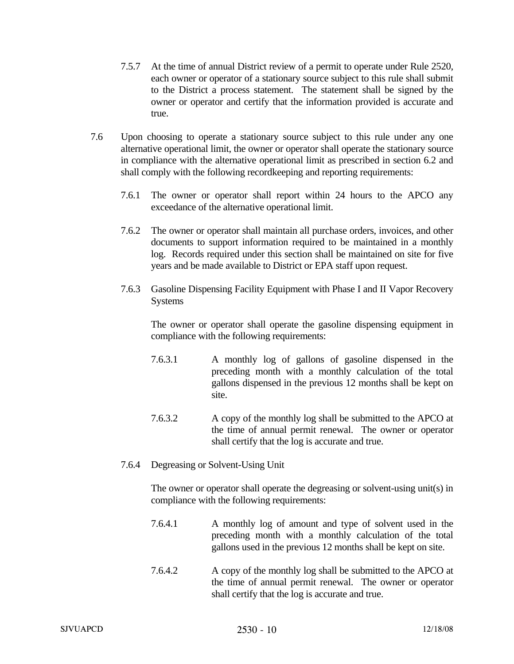- 7.5.7 At the time of annual District review of a permit to operate under Rule 2520, each owner or operator of a stationary source subject to this rule shall submit to the District a process statement. The statement shall be signed by the owner or operator and certify that the information provided is accurate and true.
- 7.6 Upon choosing to operate a stationary source subject to this rule under any one alternative operational limit, the owner or operator shall operate the stationary source in compliance with the alternative operational limit as prescribed in section 6.2 and shall comply with the following recordkeeping and reporting requirements:
	- 7.6.1 The owner or operator shall report within 24 hours to the APCO any exceedance of the alternative operational limit.
	- 7.6.2 The owner or operator shall maintain all purchase orders, invoices, and other documents to support information required to be maintained in a monthly log. Records required under this section shall be maintained on site for five years and be made available to District or EPA staff upon request.
	- 7.6.3 Gasoline Dispensing Facility Equipment with Phase I and II Vapor Recovery Systems

 The owner or operator shall operate the gasoline dispensing equipment in compliance with the following requirements:

- 7.6.3.1 A monthly log of gallons of gasoline dispensed in the preceding month with a monthly calculation of the total gallons dispensed in the previous 12 months shall be kept on site.
- 7.6.3.2 A copy of the monthly log shall be submitted to the APCO at the time of annual permit renewal. The owner or operator shall certify that the log is accurate and true.
- 7.6.4 Degreasing or Solvent-Using Unit

 The owner or operator shall operate the degreasing or solvent-using unit(s) in compliance with the following requirements:

- 7.6.4.1 A monthly log of amount and type of solvent used in the preceding month with a monthly calculation of the total gallons used in the previous 12 months shall be kept on site.
- 7.6.4.2 A copy of the monthly log shall be submitted to the APCO at the time of annual permit renewal. The owner or operator shall certify that the log is accurate and true.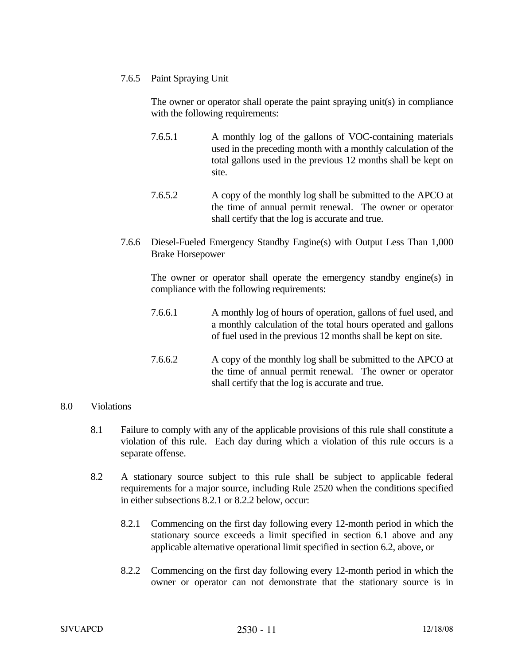## 7.6.5 Paint Spraying Unit

 The owner or operator shall operate the paint spraying unit(s) in compliance with the following requirements:

- 7.6.5.1 A monthly log of the gallons of VOC-containing materials used in the preceding month with a monthly calculation of the total gallons used in the previous 12 months shall be kept on site.
- 7.6.5.2 A copy of the monthly log shall be submitted to the APCO at the time of annual permit renewal. The owner or operator shall certify that the log is accurate and true.
- 7.6.6 Diesel-Fueled Emergency Standby Engine(s) with Output Less Than 1,000 Brake Horsepower

 The owner or operator shall operate the emergency standby engine(s) in compliance with the following requirements:

- 7.6.6.1 A monthly log of hours of operation, gallons of fuel used, and a monthly calculation of the total hours operated and gallons of fuel used in the previous 12 months shall be kept on site.
- 7.6.6.2 A copy of the monthly log shall be submitted to the APCO at the time of annual permit renewal. The owner or operator shall certify that the log is accurate and true.

## 8.0 Violations

- 8.1 Failure to comply with any of the applicable provisions of this rule shall constitute a violation of this rule. Each day during which a violation of this rule occurs is a separate offense.
- 8.2 A stationary source subject to this rule shall be subject to applicable federal requirements for a major source, including Rule 2520 when the conditions specified in either subsections 8.2.1 or 8.2.2 below, occur:
	- 8.2.1 Commencing on the first day following every 12-month period in which the stationary source exceeds a limit specified in section 6.1 above and any applicable alternative operational limit specified in section 6.2, above, or
	- 8.2.2 Commencing on the first day following every 12-month period in which the owner or operator can not demonstrate that the stationary source is in